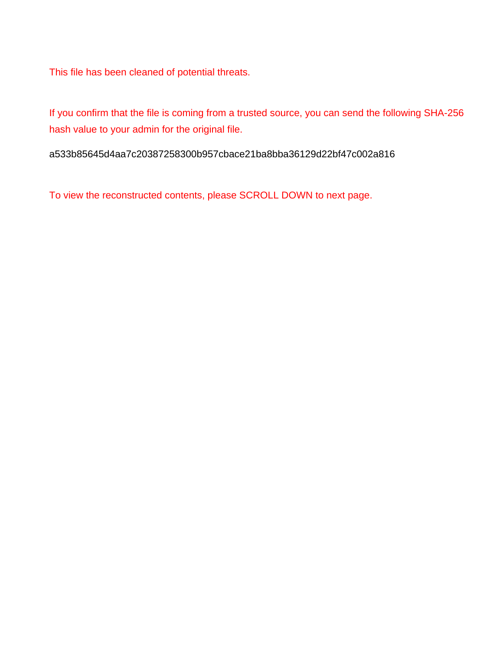This file has been cleaned of potential threats.

If you confirm that the file is coming from a trusted source, you can send the following SHA-256 hash value to your admin for the original file.

a533b85645d4aa7c20387258300b957cbace21ba8bba36129d22bf47c002a816

To view the reconstructed contents, please SCROLL DOWN to next page.